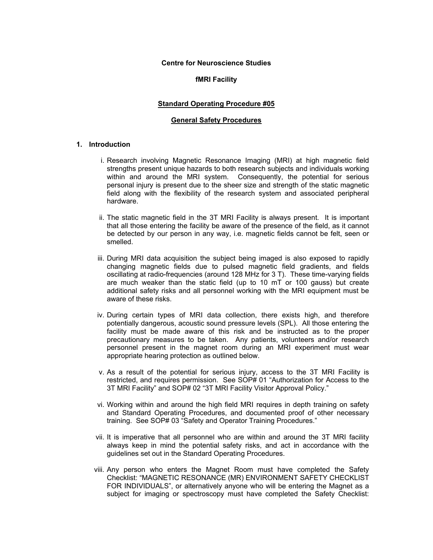#### **Centre for Neuroscience Studies**

## **fMRI Facility**

#### **Standard Operating Procedure #05**

#### **General Safety Procedures**

# **1. Introduction**

- i. Research involving Magnetic Resonance Imaging (MRI) at high magnetic field strengths present unique hazards to both research subjects and individuals working within and around the MRI system. Consequently, the potential for serious personal injury is present due to the sheer size and strength of the static magnetic field along with the flexibility of the research system and associated peripheral hardware.
- ii. The static magnetic field in the 3T MRI Facility is always present. It is important that all those entering the facility be aware of the presence of the field, as it cannot be detected by our person in any way, i.e. magnetic fields cannot be felt, seen or smelled.
- iii. During MRI data acquisition the subject being imaged is also exposed to rapidly changing magnetic fields due to pulsed magnetic field gradients, and fields oscillating at radio-frequencies (around 128 MHz for 3 T). These time-varying fields are much weaker than the static field (up to 10 mT or 100 gauss) but create additional safety risks and all personnel working with the MRI equipment must be aware of these risks.
- iv. During certain types of MRI data collection, there exists high, and therefore potentially dangerous, acoustic sound pressure levels (SPL). All those entering the facility must be made aware of this risk and be instructed as to the proper precautionary measures to be taken. Any patients, volunteers and/or research personnel present in the magnet room during an MRI experiment must wear appropriate hearing protection as outlined below.
- v. As a result of the potential for serious injury, access to the 3T MRI Facility is restricted, and requires permission. See SOP# 01 "Authorization for Access to the 3T MRI Facility" and SOP# 02 "3T MRI Facility Visitor Approval Policy."
- vi. Working within and around the high field MRI requires in depth training on safety and Standard Operating Procedures, and documented proof of other necessary training. See SOP# 03 "Safety and Operator Training Procedures."
- vii. It is imperative that all personnel who are within and around the 3T MRI facility always keep in mind the potential safety risks, and act in accordance with the guidelines set out in the Standard Operating Procedures.
- viii. Any person who enters the Magnet Room must have completed the Safety Checklist: "MAGNETIC RESONANCE (MR) ENVIRONMENT SAFETY CHECKLIST FOR INDIVIDUALS", or alternatively anyone who will be entering the Magnet as a subject for imaging or spectroscopy must have completed the Safety Checklist: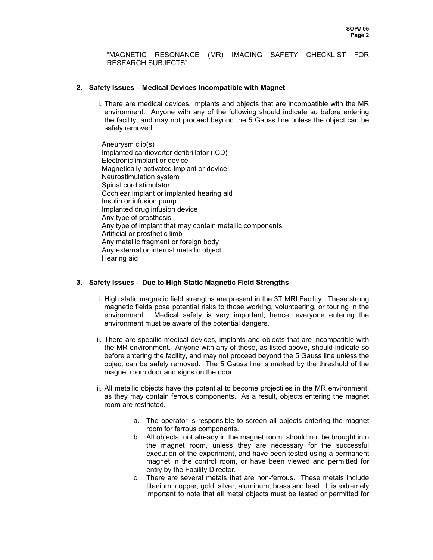"MAGNETIC RESONANCE (MR) IMAGING SAFETY CHECKLIST FOR RESEARCH SUBJECTS"

# **2. Safety Issues – Medical Devices Incompatible with Magnet**

i. There are medical devices, implants and objects that are incompatible with the MR environment. Anyone with any of the following should indicate so before entering the facility, and may not proceed beyond the 5 Gauss line unless the object can be safely removed:

Aneurysm clip(s) Implanted cardioverter defibrillator (ICD) Electronic implant or device Magnetically-activated implant or device Neurostimulation system Spinal cord stimulator Cochlear implant or implanted hearing aid Insulin or infusion pump Implanted drug infusion device Any type of prosthesis Any type of implant that may contain metallic components Artificial or prosthetic limb Any metallic fragment or foreign body Any external or internal metallic object Hearing aid

# **3. Safety Issues – Due to High Static Magnetic Field Strengths**

- i. High static magnetic field strengths are present in the 3T MRI Facility. These strong magnetic fields pose potential risks to those working, volunteering, or touring in the environment. Medical safety is very important; hence, everyone entering the environment must be aware of the potential dangers.
- ii. There are specific medical devices, implants and objects that are incompatible with the MR environment. Anyone with any of these, as listed above, should indicate so before entering the facility, and may not proceed beyond the 5 Gauss line unless the object can be safely removed. The 5 Gauss line is marked by the threshold of the magnet room door and signs on the door.
- iii. All metallic objects have the potential to become projectiles in the MR environment, as they may contain ferrous components. As a result, objects entering the magnet room are restricted.
	- a. The operator is responsible to screen all objects entering the magnet room for ferrous components.
	- b. All objects, not already in the magnet room, should not be brought into the magnet room, unless they are necessary for the successful execution of the experiment, and have been tested using a permanent magnet in the control room, or have been viewed and permitted for entry by the Facility Director.
	- c. There are several metals that are non-ferrous. These metals include titanium, copper, gold, silver, aluminum, brass and lead. It is extremely important to note that all metal objects must be tested or permitted for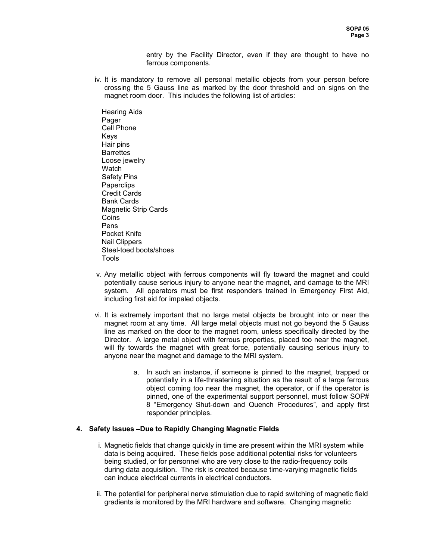entry by the Facility Director, even if they are thought to have no ferrous components.

iv. It is mandatory to remove all personal metallic objects from your person before crossing the 5 Gauss line as marked by the door threshold and on signs on the magnet room door. This includes the following list of articles:

Hearing Aids Pager Cell Phone Keys Hair pins **Barrettes** Loose jewelry **Watch** Safety Pins **Paperclips** Credit Cards Bank Cards Magnetic Strip Cards **Coins** Pens Pocket Knife Nail Clippers Steel-toed boots/shoes Tools

- v. Any metallic object with ferrous components will fly toward the magnet and could potentially cause serious injury to anyone near the magnet, and damage to the MRI system. All operators must be first responders trained in Emergency First Aid, including first aid for impaled objects.
- vi. It is extremely important that no large metal objects be brought into or near the magnet room at any time. All large metal objects must not go beyond the 5 Gauss line as marked on the door to the magnet room, unless specifically directed by the Director. A large metal object with ferrous properties, placed too near the magnet, will fly towards the magnet with great force, potentially causing serious injury to anyone near the magnet and damage to the MRI system.
	- a. In such an instance, if someone is pinned to the magnet, trapped or potentially in a life-threatening situation as the result of a large ferrous object coming too near the magnet, the operator, or if the operator is pinned, one of the experimental support personnel, must follow SOP# 8 "Emergency Shut-down and Quench Procedures", and apply first responder principles.

## **4. Safety Issues –Due to Rapidly Changing Magnetic Fields**

- i. Magnetic fields that change quickly in time are present within the MRI system while data is being acquired. These fields pose additional potential risks for volunteers being studied, or for personnel who are very close to the radio-frequency coils during data acquisition. The risk is created because time-varying magnetic fields can induce electrical currents in electrical conductors.
- ii. The potential for peripheral nerve stimulation due to rapid switching of magnetic field gradients is monitored by the MRI hardware and software. Changing magnetic